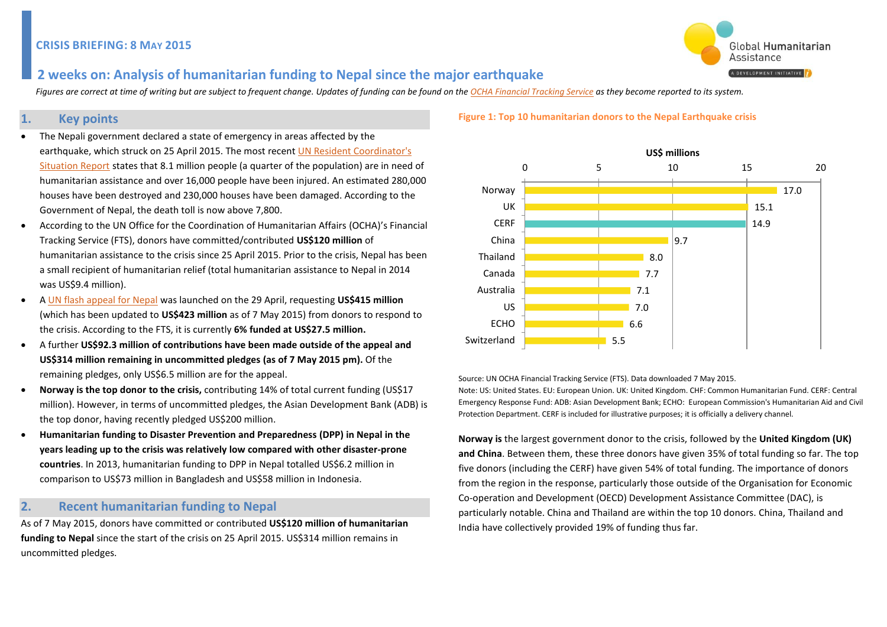

## **2 weeks on: Analysis of humanitarian funding to Nepal since the major earthquake**

 *Figures are correct at time of writing but are subject to frequent change. Updates of funding can be found on the OCHA Financial Tracking Service as they become reported to its system.*

## **1. Key points**

- The Nepali government declared a state of emergency in areas affected by the earthquake, which struck on 25 April 2015. The most recent [UN Resident Coordinator's](http://www.unocha.org/nepal)  [Situation Report](http://www.unocha.org/nepal) states that 8.1 million people (a quarter of the population) are in need of humanitarian assistance and over 16,000 people have been injured. An estimated 280,000 houses have been destroyed and 230,000 houses have been damaged. According to the Government of Nepal, the death toll is now above 7,800.
- According to the UN Office for the Coordination of Humanitarian Affairs (OCHA)'s Financial Tracking Service (FTS), donors have committed/contributed **US\$120 million** of humanitarian assistance to the crisis since 25 April 2015. Prior to the crisis, Nepal has been a small recipient of humanitarian relief (total humanitarian assistance to Nepal in 2014 was US\$9.4 million).
- [A UN flash appeal for Nepal](http://www.humanitarianresponse.info/en/system/files/documents/files/nepal_flash_appeal_0.pdf) was launched on the 29 April, requesting **US\$415 million** (which has been updated to **US\$423 million** as of 7 May 2015) from donors to respond to the crisis. According to the FTS, it is currently **6% funded at US\$27.5 million.**
- A further **US\$92.3 million of contributions have been made outside of the appeal and US\$314 million remaining in uncommitted pledges (as of 7 May 2015 pm).** Of the remaining pledges, only US\$6.5 million are for the appeal.
- **Norway is the top donor to the crisis,** contributing 14% of total current funding (US\$17 million). However, in terms of uncommitted pledges, the Asian Development Bank (ADB) is the top donor, having recently pledged US\$200 million.
- **Humanitarian funding to Disaster Prevention and Preparedness (DPP) in Nepal in the years leading up to the crisis was relatively low compared with other disaster-prone countries**. In 2013, humanitarian funding to DPP in Nepal totalled US\$6.2 million in comparison to US\$73 million in Bangladesh and US\$58 million in Indonesia.

## **2. Recent humanitarian funding to Nepal**

As of 7 May 2015, donors have committed or contributed **US\$120 million of humanitarian funding to Nepal** since the start of the crisis on 25 April 2015. US\$314 million remains in uncommitted pledges.

#### **Figure 1: Top 10 humanitarian donors to the Nepal Earthquake crisis**



Source: UN OCHA Financial Tracking Service (FTS). Data downloaded 7 May 2015.

Note: US: United States. EU: European Union. UK: United Kingdom. CHF: Common Humanitarian Fund. CERF: Central Emergency Response Fund: ADB: Asian Development Bank; ECHO: European Commission's Humanitarian Aid and Civil Protection Department. CERF is included for illustrative purposes; it is officially a delivery channel.

**Norway is** the largest government donor to the crisis, followed by the **United Kingdom (UK) and China**. Between them, these three donors have given 35% of total funding so far. The top five donors (including the CERF) have given 54% of total funding. The importance of donors from the region in the response, particularly those outside of the Organisation for Economic Co-operation and Development (OECD) Development Assistance Committee (DAC), is particularly notable. China and Thailand are within the top 10 donors. China, Thailand and India have collectively provided 19% of funding thus far.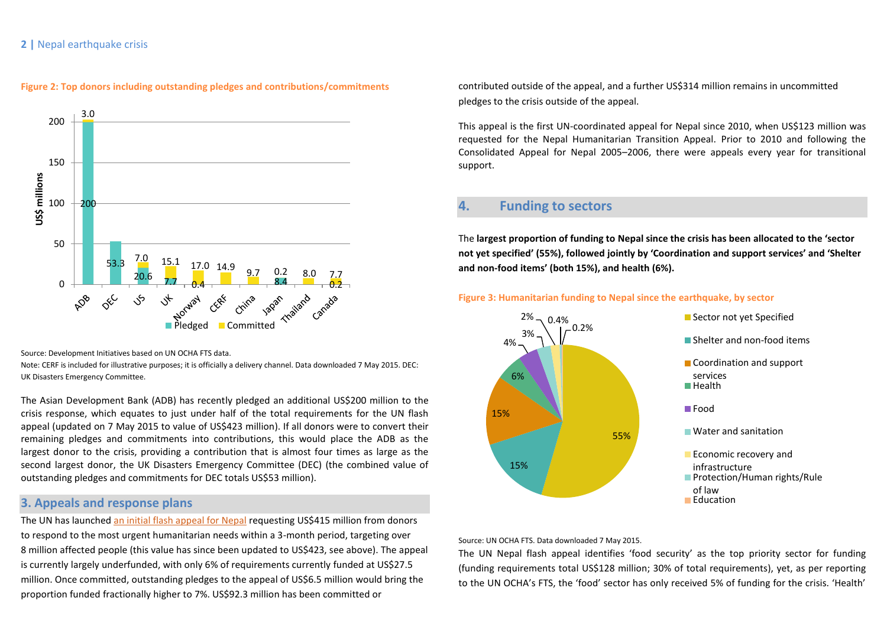### **2 |** Nepal earthquake crisis



#### **Figure 2: Top donors including outstanding pledges and contributions/commitments**

Source: Development Initiatives based on UN OCHA FTS data.

Note: CERF is included for illustrative purposes; it is officially a delivery channel. Data downloaded 7 May 2015. DEC: UK Disasters Emergency Committee.

The Asian Development Bank (ADB) has recently pledged an additional US\$200 million to the crisis response, which equates to just under half of the total requirements for the UN flash appeal (updated on 7 May 2015 to value of US\$423 million). If all donors were to convert their remaining pledges and commitments into contributions, this would place the ADB as the largest donor to the crisis, providing a contribution that is almost four times as large as the second largest donor, the UK Disasters Emergency Committee (DEC) (the combined value of outstanding pledges and commitments for DEC totals US\$53 million).

## **3. Appeals and response plans**

The UN has launched an initial [flash appeal for Nepal](https://www.humanitarianresponse.info/en/system/files/documents/files/nepal_flash_appeal_0.pdf) requesting US\$415 million from donors to respond to the most urgent humanitarian needs within a 3-month period, targeting over 8 million affected people (this value has since been updated to US\$423, see above). The appeal is currently largely underfunded, with only 6% of requirements currently funded at US\$27.5 million. Once committed, outstanding pledges to the appeal of US\$6.5 million would bring the proportion funded fractionally higher to 7%. US\$92.3 million has been committed or

contributed outside of the appeal, and a further US\$314 million remains in uncommitted pledges to the crisis outside of the appeal.

This appeal is the first UN-coordinated appeal for Nepal since 2010, when US\$123 million was requested for the Nepal Humanitarian Transition Appeal. Prior to 2010 and following the Consolidated Appeal for Nepal 2005–2006, there were appeals every year for transitional support.

## **4. Funding to sectors**

The **largest proportion of funding to Nepal since the crisis has been allocated to the 'sector not yet specified' (55%), followed jointly by 'Coordination and support services' and 'Shelter and non-food items' (both 15%), and health (6%).**





Source: UN OCHA FTS. Data downloaded 7 May 2015.

The UN Nepal flash appeal identifies 'food security' as the top priority sector for funding (funding requirements total US\$128 million; 30% of total requirements), yet, as per reporting to the UN OCHA's FTS, the 'food' sector has only received 5% of funding for the crisis. 'Health'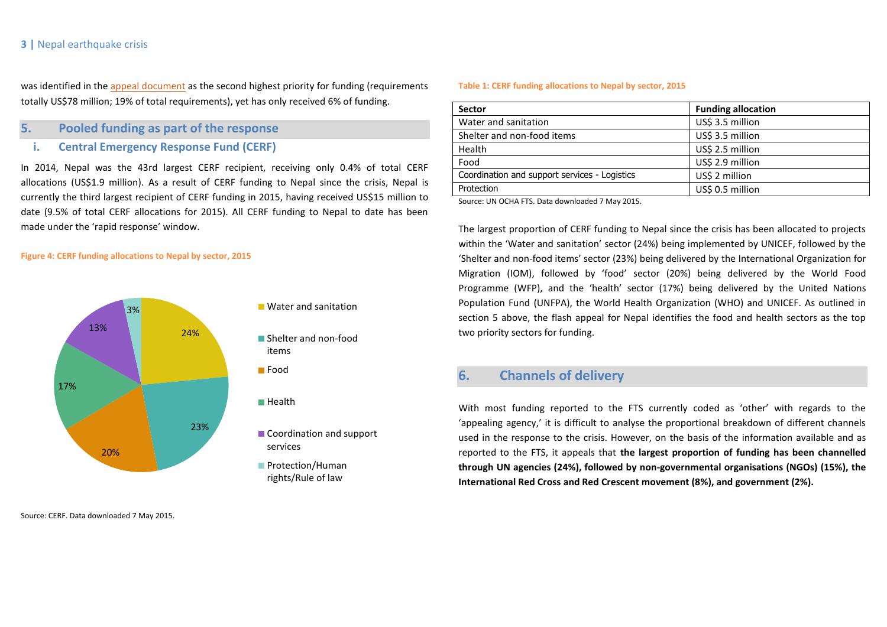## **3 |** Nepal earthquake crisis

was identified in the [appeal document](https://www.humanitarianresponse.info/en/system/files/documents/files/nepal_flash_appeal_0.pdf) as the second highest priority for funding (requirements totally US\$78 million; 19% of total requirements), yet has only received 6% of funding.

### **5. Pooled funding as part of the response**

**i. Central Emergency Response Fund (CERF)**

In 2014, Nepal was the 43rd largest CERF recipient, receiving only 0.4% of total CERF allocations (US\$1.9 million). As a result of CERF funding to Nepal since the crisis, Nepal is currently the third largest recipient of CERF funding in 2015, having received US\$15 million to date (9.5% of total CERF allocations for 2015). All CERF funding to Nepal to date has been made under the 'rapid response' window.

#### **Figure 4: CERF funding allocations to Nepal by sector, 2015**



Source: CERF. Data downloaded 7 May 2015.

#### **Table 1: CERF funding allocations to Nepal by sector, 2015**

| <b>Sector</b>                                 | <b>Funding allocation</b> |
|-----------------------------------------------|---------------------------|
| Water and sanitation                          | US\$ 3.5 million          |
| Shelter and non-food items                    | US\$ 3.5 million          |
| Health                                        | US\$ 2.5 million          |
| Food                                          | US\$ 2.9 million          |
| Coordination and support services - Logistics | US\$ 2 million            |
| Protection                                    | US\$ 0.5 million          |
|                                               |                           |

Source: UN OCHA FTS. Data downloaded 7 May 2015.

The largest proportion of CERF funding to Nepal since the crisis has been allocated to projects within the 'Water and sanitation' sector (24%) being implemented by UNICEF, followed by the 'Shelter and non-food items' sector (23%) being delivered by the International Organization for Migration (IOM), followed by 'food' sector (20%) being delivered by the World Food Programme (WFP), and the 'health' sector (17%) being delivered by the United Nations Population Fund (UNFPA), the World Health Organization (WHO) and UNICEF. As outlined in section 5 above, the flash appeal for Nepal identifies the food and health sectors as the top two priority sectors for funding.

# **6. Channels of delivery**

With most funding reported to the FTS currently coded as 'other' with regards to the 'appealing agency,' it is difficult to analyse the proportional breakdown of different channels used in the response to the crisis. However, on the basis of the information available and as reported to the FTS, it appeals that **the largest proportion of funding has been channelled through UN agencies (24%), followed by non-governmental organisations (NGOs) (15%), the International Red Cross and Red Crescent movement (8%), and government (2%).**